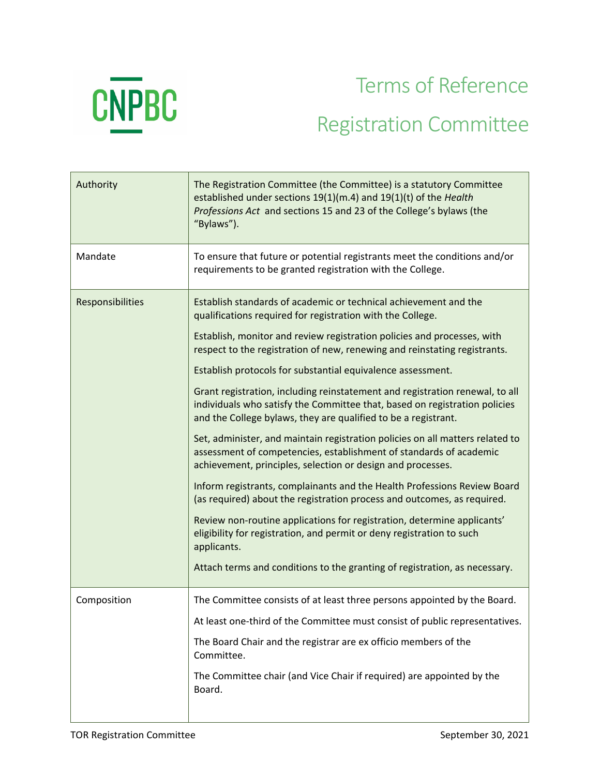

## Terms of Reference Registration Committee

| Authority        | The Registration Committee (the Committee) is a statutory Committee<br>established under sections 19(1)(m.4) and 19(1)(t) of the Health<br>Professions Act and sections 15 and 23 of the College's bylaws (the<br>"Bylaws").                                                                                                                                                                                                                                                                                                                                                                                                                                                                                                                                                                                                                                                                                                                                                                                                                                                                                                                                                                                        |
|------------------|---------------------------------------------------------------------------------------------------------------------------------------------------------------------------------------------------------------------------------------------------------------------------------------------------------------------------------------------------------------------------------------------------------------------------------------------------------------------------------------------------------------------------------------------------------------------------------------------------------------------------------------------------------------------------------------------------------------------------------------------------------------------------------------------------------------------------------------------------------------------------------------------------------------------------------------------------------------------------------------------------------------------------------------------------------------------------------------------------------------------------------------------------------------------------------------------------------------------|
| Mandate          | To ensure that future or potential registrants meet the conditions and/or<br>requirements to be granted registration with the College.                                                                                                                                                                                                                                                                                                                                                                                                                                                                                                                                                                                                                                                                                                                                                                                                                                                                                                                                                                                                                                                                              |
| Responsibilities | Establish standards of academic or technical achievement and the<br>qualifications required for registration with the College.<br>Establish, monitor and review registration policies and processes, with<br>respect to the registration of new, renewing and reinstating registrants.<br>Establish protocols for substantial equivalence assessment.<br>Grant registration, including reinstatement and registration renewal, to all<br>individuals who satisfy the Committee that, based on registration policies<br>and the College bylaws, they are qualified to be a registrant.<br>Set, administer, and maintain registration policies on all matters related to<br>assessment of competencies, establishment of standards of academic<br>achievement, principles, selection or design and processes.<br>Inform registrants, complainants and the Health Professions Review Board<br>(as required) about the registration process and outcomes, as required.<br>Review non-routine applications for registration, determine applicants'<br>eligibility for registration, and permit or deny registration to such<br>applicants.<br>Attach terms and conditions to the granting of registration, as necessary. |
| Composition      | The Committee consists of at least three persons appointed by the Board.<br>At least one-third of the Committee must consist of public representatives.<br>The Board Chair and the registrar are ex officio members of the<br>Committee.<br>The Committee chair (and Vice Chair if required) are appointed by the<br>Board.                                                                                                                                                                                                                                                                                                                                                                                                                                                                                                                                                                                                                                                                                                                                                                                                                                                                                         |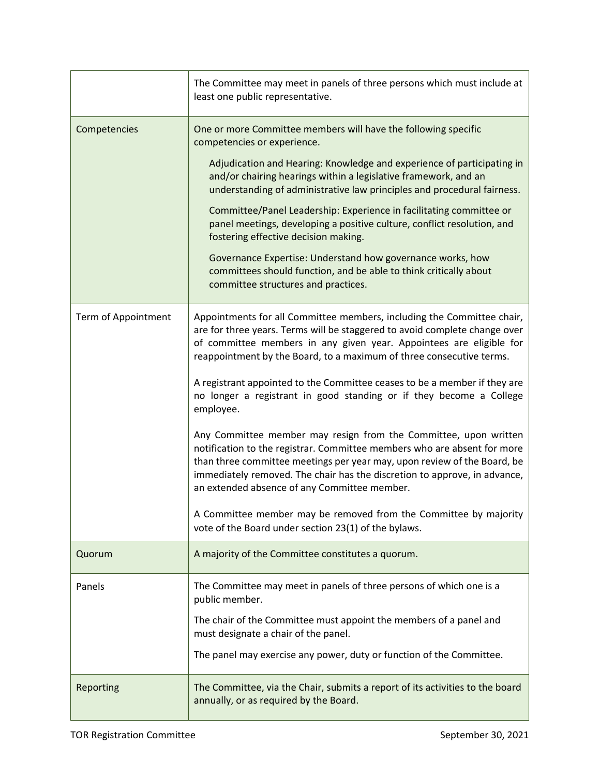|                     | The Committee may meet in panels of three persons which must include at<br>least one public representative.                                                                                                                                                                                                                                                                                                                                                                                                                                                                                                                                                                                                                                                                                                                                                                                                                                               |
|---------------------|-----------------------------------------------------------------------------------------------------------------------------------------------------------------------------------------------------------------------------------------------------------------------------------------------------------------------------------------------------------------------------------------------------------------------------------------------------------------------------------------------------------------------------------------------------------------------------------------------------------------------------------------------------------------------------------------------------------------------------------------------------------------------------------------------------------------------------------------------------------------------------------------------------------------------------------------------------------|
| Competencies        | One or more Committee members will have the following specific<br>competencies or experience.<br>Adjudication and Hearing: Knowledge and experience of participating in<br>and/or chairing hearings within a legislative framework, and an<br>understanding of administrative law principles and procedural fairness.<br>Committee/Panel Leadership: Experience in facilitating committee or<br>panel meetings, developing a positive culture, conflict resolution, and<br>fostering effective decision making.<br>Governance Expertise: Understand how governance works, how<br>committees should function, and be able to think critically about<br>committee structures and practices.                                                                                                                                                                                                                                                                 |
| Term of Appointment | Appointments for all Committee members, including the Committee chair,<br>are for three years. Terms will be staggered to avoid complete change over<br>of committee members in any given year. Appointees are eligible for<br>reappointment by the Board, to a maximum of three consecutive terms.<br>A registrant appointed to the Committee ceases to be a member if they are<br>no longer a registrant in good standing or if they become a College<br>employee.<br>Any Committee member may resign from the Committee, upon written<br>notification to the registrar. Committee members who are absent for more<br>than three committee meetings per year may, upon review of the Board, be<br>immediately removed. The chair has the discretion to approve, in advance,<br>an extended absence of any Committee member.<br>A Committee member may be removed from the Committee by majority<br>vote of the Board under section 23(1) of the bylaws. |
| Quorum              | A majority of the Committee constitutes a quorum.                                                                                                                                                                                                                                                                                                                                                                                                                                                                                                                                                                                                                                                                                                                                                                                                                                                                                                         |
| Panels              | The Committee may meet in panels of three persons of which one is a<br>public member.<br>The chair of the Committee must appoint the members of a panel and<br>must designate a chair of the panel.<br>The panel may exercise any power, duty or function of the Committee.                                                                                                                                                                                                                                                                                                                                                                                                                                                                                                                                                                                                                                                                               |
| Reporting           | The Committee, via the Chair, submits a report of its activities to the board<br>annually, or as required by the Board.                                                                                                                                                                                                                                                                                                                                                                                                                                                                                                                                                                                                                                                                                                                                                                                                                                   |